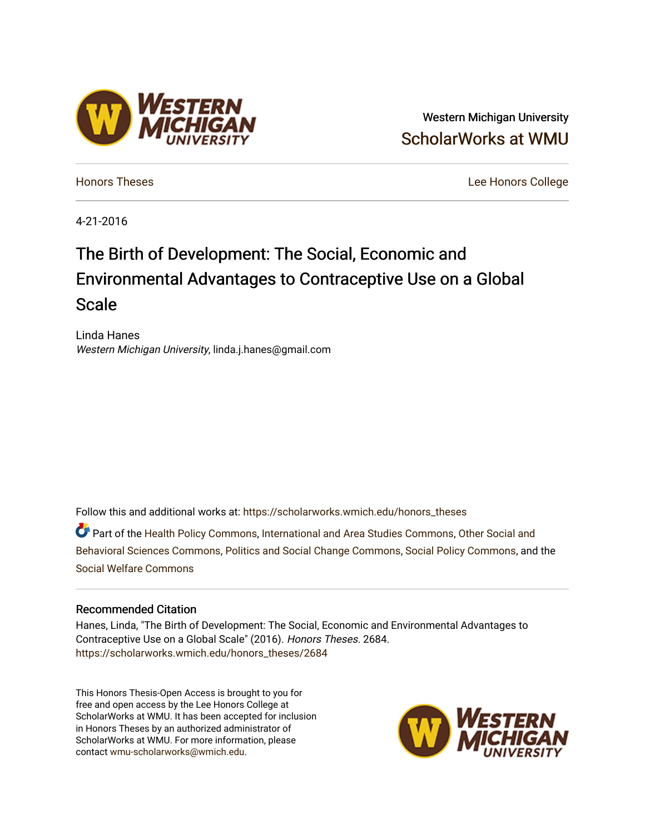# Western Michigan University [ScholarWorks at WMU](https://scholarworks.wmich.edu/)

[Honors Theses](https://scholarworks.wmich.edu/honors_theses) [Lee Honors College](https://scholarworks.wmich.edu/honors) 

4-21-2016

# The Birth of Development: The Social, Economic and Environmental Advantages to Contraceptive Use on a Global Scale

Linda Hanes Western Michigan University, linda.j.hanes@gmail.com

Follow this and additional works at: [https://scholarworks.wmich.edu/honors\\_theses](https://scholarworks.wmich.edu/honors_theses?utm_source=scholarworks.wmich.edu%2Fhonors_theses%2F2684&utm_medium=PDF&utm_campaign=PDFCoverPages)

Part of the [Health Policy Commons](http://network.bepress.com/hgg/discipline/395?utm_source=scholarworks.wmich.edu%2Fhonors_theses%2F2684&utm_medium=PDF&utm_campaign=PDFCoverPages), [International and Area Studies Commons,](http://network.bepress.com/hgg/discipline/360?utm_source=scholarworks.wmich.edu%2Fhonors_theses%2F2684&utm_medium=PDF&utm_campaign=PDFCoverPages) [Other Social and](http://network.bepress.com/hgg/discipline/437?utm_source=scholarworks.wmich.edu%2Fhonors_theses%2F2684&utm_medium=PDF&utm_campaign=PDFCoverPages) [Behavioral Sciences Commons,](http://network.bepress.com/hgg/discipline/437?utm_source=scholarworks.wmich.edu%2Fhonors_theses%2F2684&utm_medium=PDF&utm_campaign=PDFCoverPages) [Politics and Social Change Commons,](http://network.bepress.com/hgg/discipline/425?utm_source=scholarworks.wmich.edu%2Fhonors_theses%2F2684&utm_medium=PDF&utm_campaign=PDFCoverPages) [Social Policy Commons](http://network.bepress.com/hgg/discipline/1030?utm_source=scholarworks.wmich.edu%2Fhonors_theses%2F2684&utm_medium=PDF&utm_campaign=PDFCoverPages), and the [Social Welfare Commons](http://network.bepress.com/hgg/discipline/401?utm_source=scholarworks.wmich.edu%2Fhonors_theses%2F2684&utm_medium=PDF&utm_campaign=PDFCoverPages)

#### Recommended Citation

Hanes, Linda, "The Birth of Development: The Social, Economic and Environmental Advantages to Contraceptive Use on a Global Scale" (2016). Honors Theses. 2684. [https://scholarworks.wmich.edu/honors\\_theses/2684](https://scholarworks.wmich.edu/honors_theses/2684?utm_source=scholarworks.wmich.edu%2Fhonors_theses%2F2684&utm_medium=PDF&utm_campaign=PDFCoverPages) 

This Honors Thesis-Open Access is brought to you for free and open access by the Lee Honors College at ScholarWorks at WMU. It has been accepted for inclusion in Honors Theses by an authorized administrator of ScholarWorks at WMU. For more information, please contact [wmu-scholarworks@wmich.edu](mailto:wmu-scholarworks@wmich.edu).



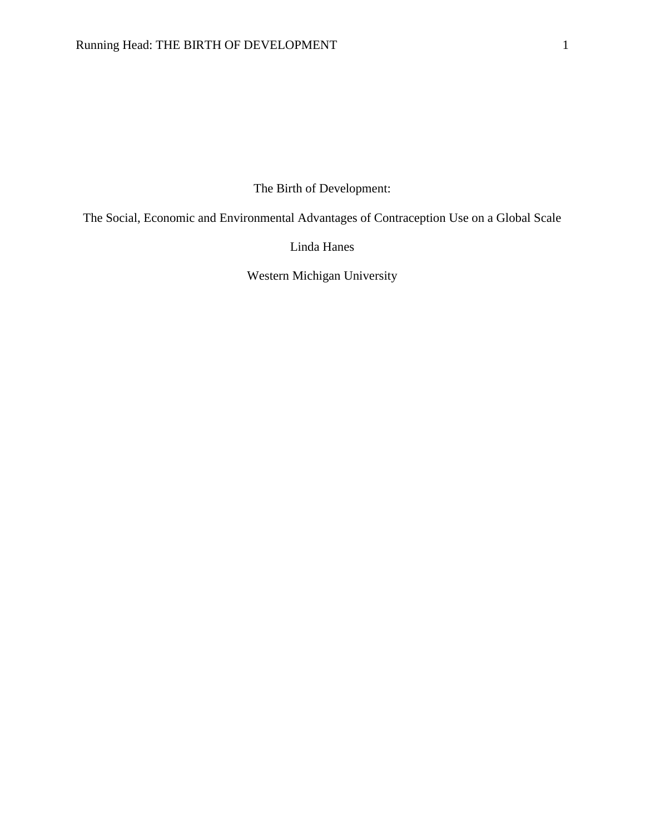The Birth of Development:

The Social, Economic and Environmental Advantages of Contraception Use on a Global Scale

Linda Hanes

Western Michigan University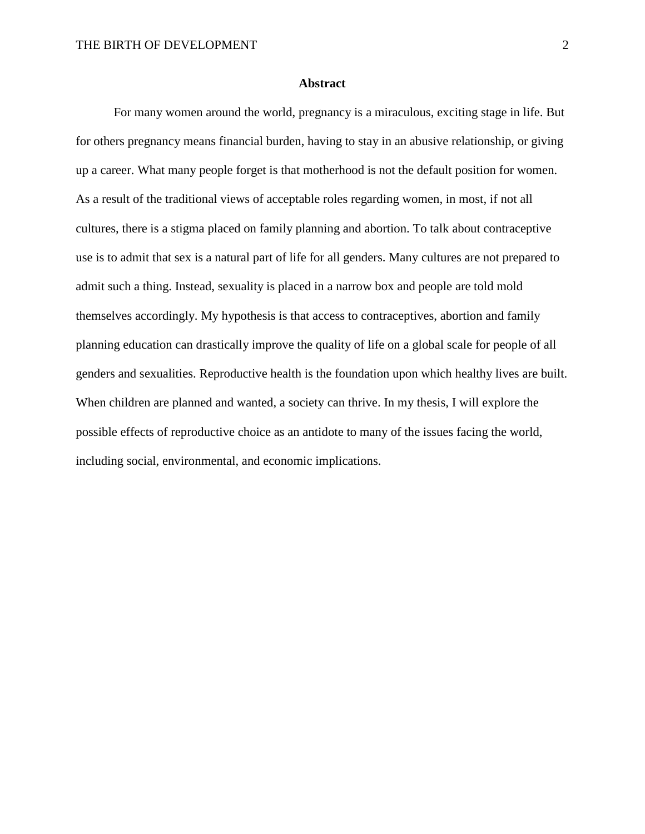# **Abstract**

For many women around the world, pregnancy is a miraculous, exciting stage in life. But for others pregnancy means financial burden, having to stay in an abusive relationship, or giving up a career. What many people forget is that motherhood is not the default position for women. As a result of the traditional views of acceptable roles regarding women, in most, if not all cultures, there is a stigma placed on family planning and abortion. To talk about contraceptive use is to admit that sex is a natural part of life for all genders. Many cultures are not prepared to admit such a thing. Instead, sexuality is placed in a narrow box and people are told mold themselves accordingly. My hypothesis is that access to contraceptives, abortion and family planning education can drastically improve the quality of life on a global scale for people of all genders and sexualities. Reproductive health is the foundation upon which healthy lives are built. When children are planned and wanted, a society can thrive. In my thesis, I will explore the possible effects of reproductive choice as an antidote to many of the issues facing the world, including social, environmental, and economic implications.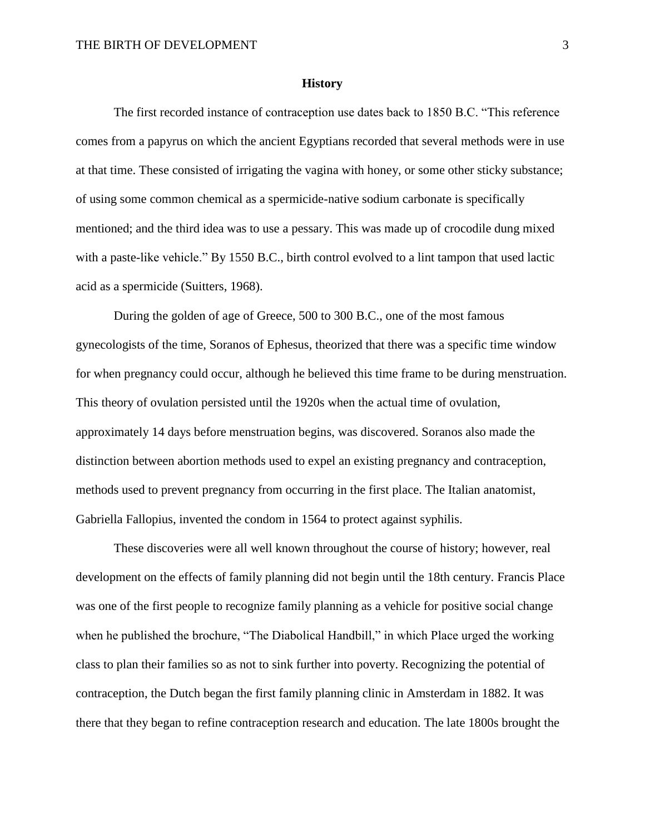#### **History**

The first recorded instance of contraception use dates back to 1850 B.C. "This reference comes from a papyrus on which the ancient Egyptians recorded that several methods were in use at that time. These consisted of irrigating the vagina with honey, or some other sticky substance; of using some common chemical as a spermicide-native sodium carbonate is specifically mentioned; and the third idea was to use a pessary. This was made up of crocodile dung mixed with a paste-like vehicle." By 1550 B.C., birth control evolved to a lint tampon that used lactic acid as a spermicide (Suitters, 1968).

During the golden of age of Greece, 500 to 300 B.C., one of the most famous gynecologists of the time, Soranos of Ephesus, theorized that there was a specific time window for when pregnancy could occur, although he believed this time frame to be during menstruation. This theory of ovulation persisted until the 1920s when the actual time of ovulation, approximately 14 days before menstruation begins, was discovered. Soranos also made the distinction between abortion methods used to expel an existing pregnancy and contraception, methods used to prevent pregnancy from occurring in the first place. The Italian anatomist, Gabriella Fallopius, invented the condom in 1564 to protect against syphilis.

These discoveries were all well known throughout the course of history; however, real development on the effects of family planning did not begin until the 18th century. Francis Place was one of the first people to recognize family planning as a vehicle for positive social change when he published the brochure, "The Diabolical Handbill," in which Place urged the working class to plan their families so as not to sink further into poverty. Recognizing the potential of contraception, the Dutch began the first family planning clinic in Amsterdam in 1882. It was there that they began to refine contraception research and education. The late 1800s brought the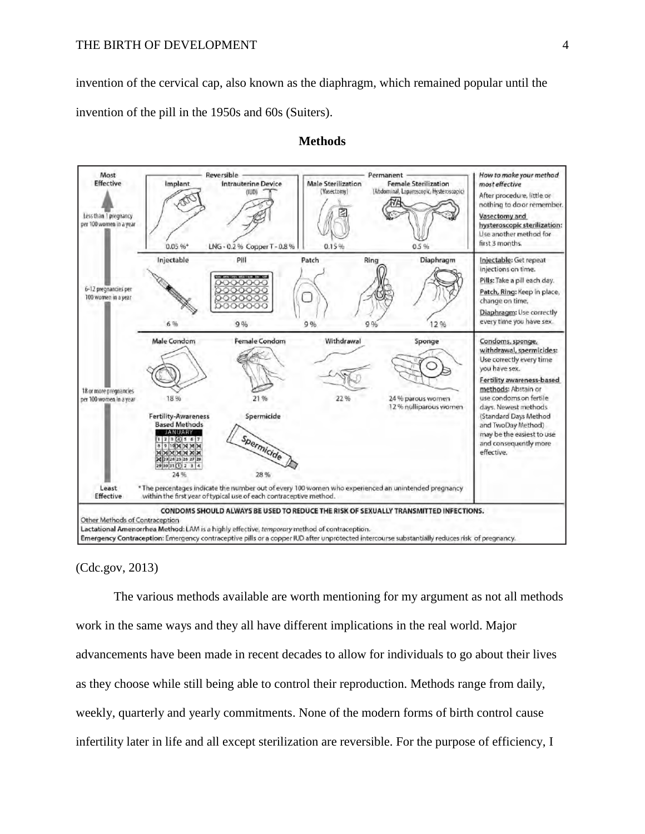invention of the cervical cap, also known as the diaphragm, which remained popular until the invention of the pill in the 1950s and 60s (Suiters).



# **Methods**

(Cdc.gov, 2013)

The various methods available are worth mentioning for my argument as not all methods work in the same ways and they all have different implications in the real world. Major advancements have been made in recent decades to allow for individuals to go about their lives as they choose while still being able to control their reproduction. Methods range from daily, weekly, quarterly and yearly commitments. None of the modern forms of birth control cause infertility later in life and all except sterilization are reversible. For the purpose of efficiency, I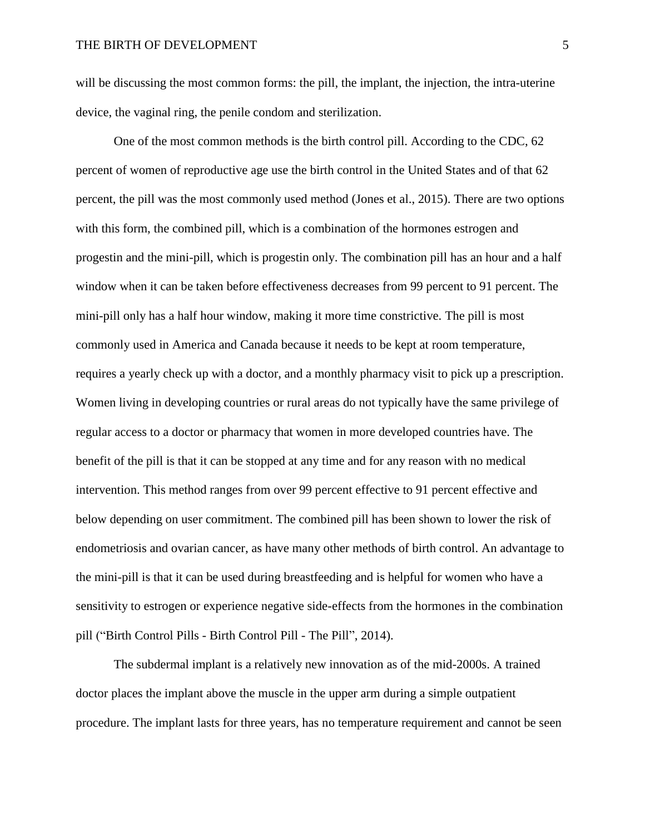will be discussing the most common forms: the pill, the implant, the injection, the intra-uterine device, the vaginal ring, the penile condom and sterilization.

One of the most common methods is the birth control pill. According to the CDC, 62 percent of women of reproductive age use the birth control in the United States and of that 62 percent, the pill was the most commonly used method (Jones et al., 2015). There are two options with this form, the combined pill, which is a combination of the hormones estrogen and progestin and the mini-pill, which is progestin only. The combination pill has an hour and a half window when it can be taken before effectiveness decreases from 99 percent to 91 percent. The mini-pill only has a half hour window, making it more time constrictive. The pill is most commonly used in America and Canada because it needs to be kept at room temperature, requires a yearly check up with a doctor, and a monthly pharmacy visit to pick up a prescription. Women living in developing countries or rural areas do not typically have the same privilege of regular access to a doctor or pharmacy that women in more developed countries have. The benefit of the pill is that it can be stopped at any time and for any reason with no medical intervention. This method ranges from over 99 percent effective to 91 percent effective and below depending on user commitment. The combined pill has been shown to lower the risk of endometriosis and ovarian cancer, as have many other methods of birth control. An advantage to the mini-pill is that it can be used during breastfeeding and is helpful for women who have a sensitivity to estrogen or experience negative side-effects from the hormones in the combination pill ("Birth Control Pills - Birth Control Pill - The Pill", 2014).

The subdermal implant is a relatively new innovation as of the mid-2000s. A trained doctor places the implant above the muscle in the upper arm during a simple outpatient procedure. The implant lasts for three years, has no temperature requirement and cannot be seen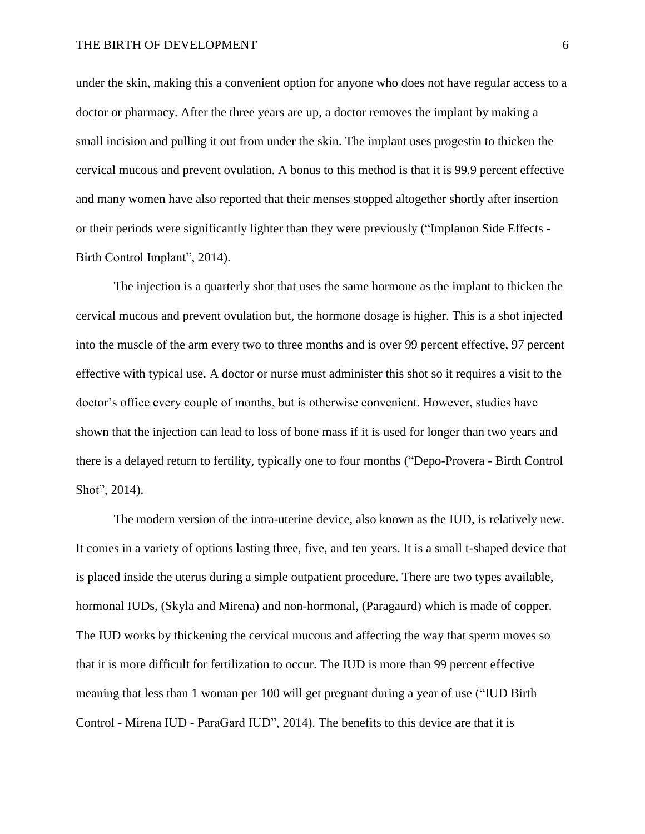under the skin, making this a convenient option for anyone who does not have regular access to a doctor or pharmacy. After the three years are up, a doctor removes the implant by making a small incision and pulling it out from under the skin. The implant uses progestin to thicken the cervical mucous and prevent ovulation. A bonus to this method is that it is 99.9 percent effective and many women have also reported that their menses stopped altogether shortly after insertion or their periods were significantly lighter than they were previously ("Implanon Side Effects - Birth Control Implant", 2014).

The injection is a quarterly shot that uses the same hormone as the implant to thicken the cervical mucous and prevent ovulation but, the hormone dosage is higher. This is a shot injected into the muscle of the arm every two to three months and is over 99 percent effective, 97 percent effective with typical use. A doctor or nurse must administer this shot so it requires a visit to the doctor's office every couple of months, but is otherwise convenient. However, studies have shown that the injection can lead to loss of bone mass if it is used for longer than two years and there is a delayed return to fertility, typically one to four months ("Depo-Provera - Birth Control Shot", 2014).

The modern version of the intra-uterine device, also known as the IUD, is relatively new. It comes in a variety of options lasting three, five, and ten years. It is a small t-shaped device that is placed inside the uterus during a simple outpatient procedure. There are two types available, hormonal IUDs, (Skyla and Mirena) and non-hormonal, (Paragaurd) which is made of copper. The IUD works by thickening the cervical mucous and affecting the way that sperm moves so that it is more difficult for fertilization to occur. The IUD is more than 99 percent effective meaning that less than 1 woman per 100 will get pregnant during a year of use ("IUD Birth Control - Mirena IUD - ParaGard IUD", 2014). The benefits to this device are that it is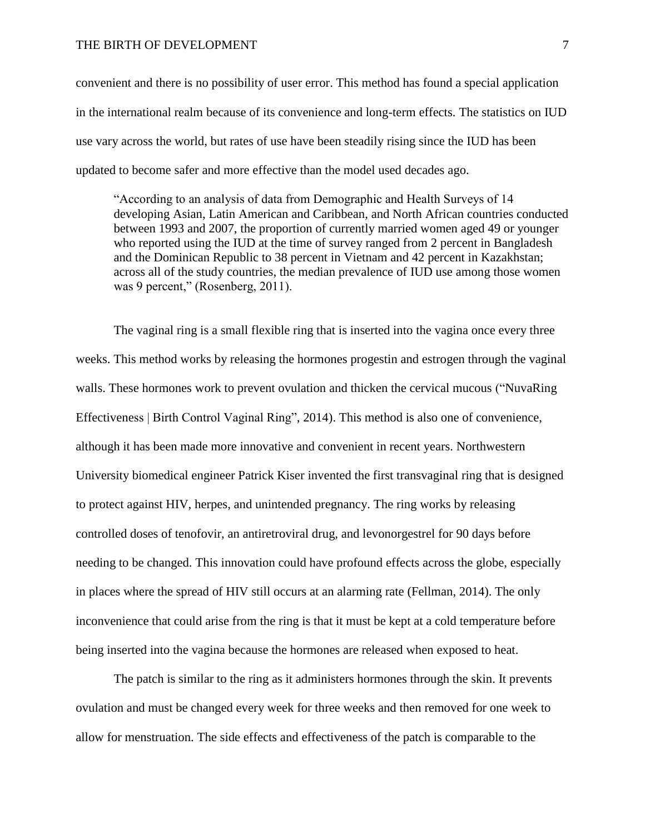#### THE BIRTH OF DEVELOPMENT 7

convenient and there is no possibility of user error. This method has found a special application in the international realm because of its convenience and long-term effects. The statistics on IUD use vary across the world, but rates of use have been steadily rising since the IUD has been updated to become safer and more effective than the model used decades ago.

"According to an analysis of data from Demographic and Health Surveys of 14 developing Asian, Latin American and Caribbean, and North African countries conducted between 1993 and 2007, the proportion of currently married women aged 49 or younger who reported using the IUD at the time of survey ranged from 2 percent in Bangladesh and the Dominican Republic to 38 percent in Vietnam and 42 percent in Kazakhstan; across all of the study countries, the median prevalence of IUD use among those women was 9 percent," (Rosenberg, 2011).

The vaginal ring is a small flexible ring that is inserted into the vagina once every three weeks. This method works by releasing the hormones progestin and estrogen through the vaginal walls. These hormones work to prevent ovulation and thicken the cervical mucous ("NuvaRing Effectiveness | Birth Control Vaginal Ring", 2014). This method is also one of convenience, although it has been made more innovative and convenient in recent years. Northwestern University biomedical engineer Patrick Kiser invented the first transvaginal ring that is designed to protect against HIV, herpes, and unintended pregnancy. The ring works by releasing controlled doses of tenofovir, an antiretroviral drug, and levonorgestrel for 90 days before needing to be changed. This innovation could have profound effects across the globe, especially in places where the spread of HIV still occurs at an alarming rate (Fellman, 2014). The only inconvenience that could arise from the ring is that it must be kept at a cold temperature before being inserted into the vagina because the hormones are released when exposed to heat.

The patch is similar to the ring as it administers hormones through the skin. It prevents ovulation and must be changed every week for three weeks and then removed for one week to allow for menstruation. The side effects and effectiveness of the patch is comparable to the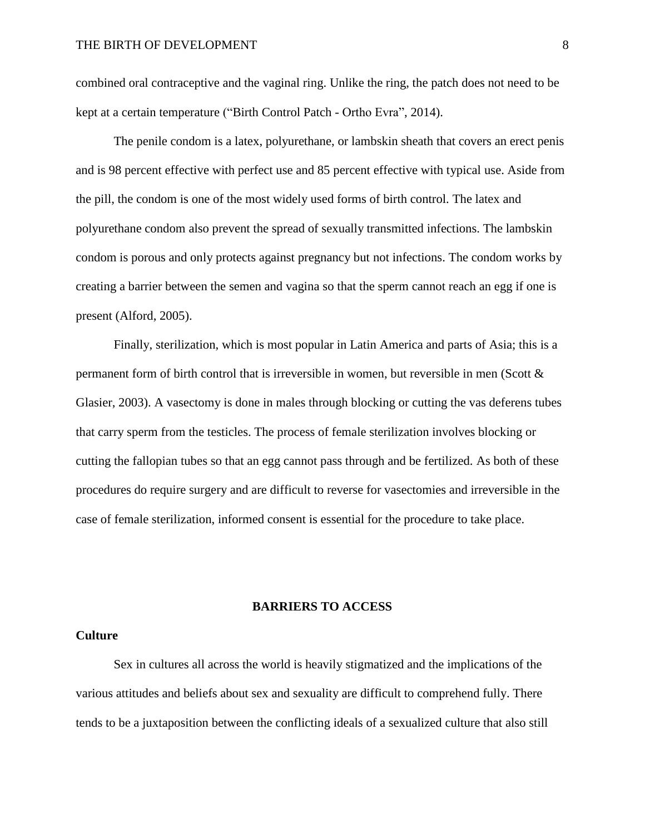combined oral contraceptive and the vaginal ring. Unlike the ring, the patch does not need to be kept at a certain temperature ("Birth Control Patch - Ortho Evra", 2014).

The penile condom is a latex, polyurethane, or lambskin sheath that covers an erect penis and is 98 percent effective with perfect use and 85 percent effective with typical use. Aside from the pill, the condom is one of the most widely used forms of birth control. The latex and polyurethane condom also prevent the spread of sexually transmitted infections. The lambskin condom is porous and only protects against pregnancy but not infections. The condom works by creating a barrier between the semen and vagina so that the sperm cannot reach an egg if one is present (Alford, 2005).

Finally, sterilization, which is most popular in Latin America and parts of Asia; this is a permanent form of birth control that is irreversible in women, but reversible in men (Scott & Glasier, 2003). A vasectomy is done in males through blocking or cutting the vas deferens tubes that carry sperm from the testicles. The process of female sterilization involves blocking or cutting the fallopian tubes so that an egg cannot pass through and be fertilized. As both of these procedures do require surgery and are difficult to reverse for vasectomies and irreversible in the case of female sterilization, informed consent is essential for the procedure to take place.

#### **BARRIERS TO ACCESS**

# **Culture**

Sex in cultures all across the world is heavily stigmatized and the implications of the various attitudes and beliefs about sex and sexuality are difficult to comprehend fully. There tends to be a juxtaposition between the conflicting ideals of a sexualized culture that also still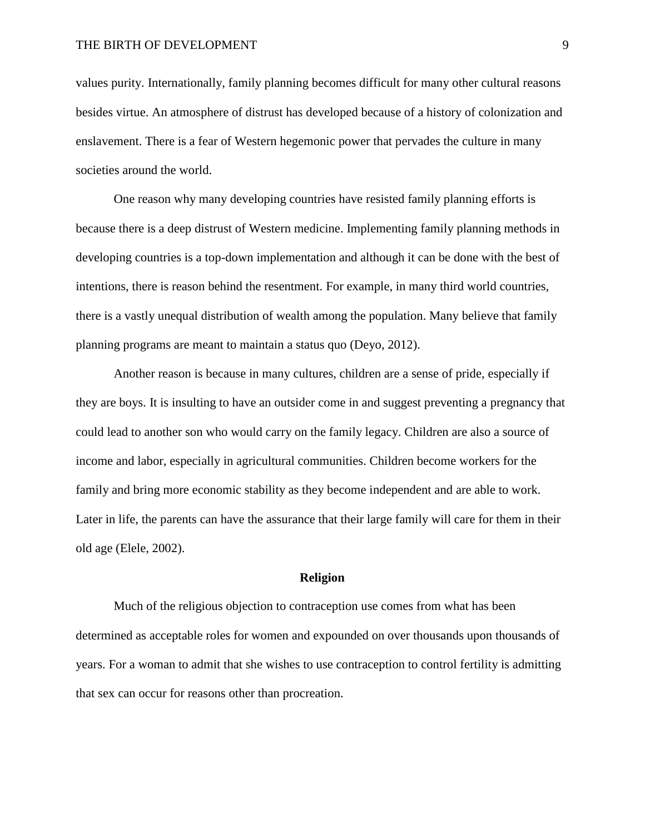values purity. Internationally, family planning becomes difficult for many other cultural reasons besides virtue. An atmosphere of distrust has developed because of a history of colonization and enslavement. There is a fear of Western hegemonic power that pervades the culture in many societies around the world.

One reason why many developing countries have resisted family planning efforts is because there is a deep distrust of Western medicine. Implementing family planning methods in developing countries is a top-down implementation and although it can be done with the best of intentions, there is reason behind the resentment. For example, in many third world countries, there is a vastly unequal distribution of wealth among the population. Many believe that family planning programs are meant to maintain a status quo (Deyo, 2012).

Another reason is because in many cultures, children are a sense of pride, especially if they are boys. It is insulting to have an outsider come in and suggest preventing a pregnancy that could lead to another son who would carry on the family legacy. Children are also a source of income and labor, especially in agricultural communities. Children become workers for the family and bring more economic stability as they become independent and are able to work. Later in life, the parents can have the assurance that their large family will care for them in their old age (Elele, 2002).

#### **Religion**

Much of the religious objection to contraception use comes from what has been determined as acceptable roles for women and expounded on over thousands upon thousands of years. For a woman to admit that she wishes to use contraception to control fertility is admitting that sex can occur for reasons other than procreation.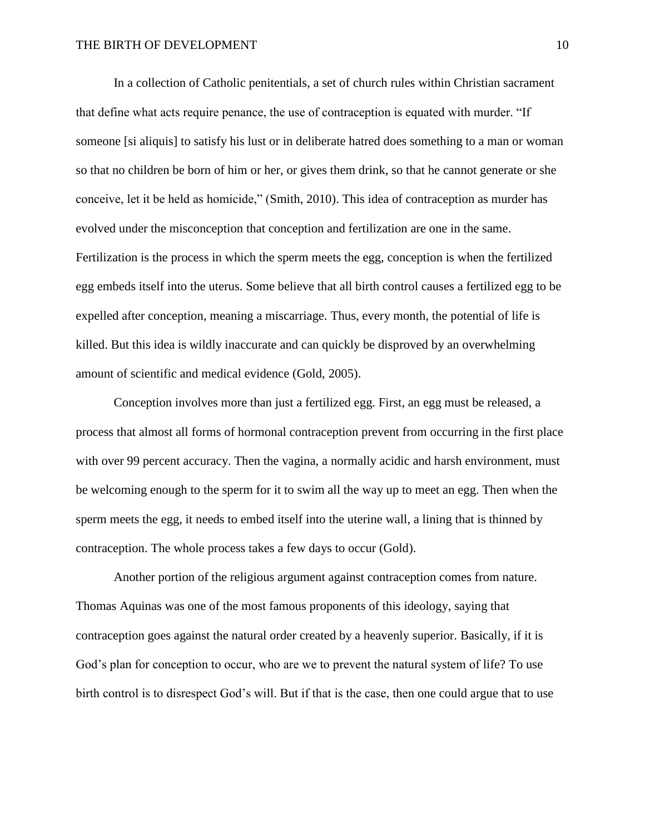In a collection of Catholic penitentials, a set of church rules within Christian sacrament that define what acts require penance, the use of contraception is equated with murder. "If someone [si aliquis] to satisfy his lust or in deliberate hatred does something to a man or woman so that no children be born of him or her, or gives them drink, so that he cannot generate or she conceive, let it be held as homicide," (Smith, 2010). This idea of contraception as murder has evolved under the misconception that conception and fertilization are one in the same. Fertilization is the process in which the sperm meets the egg, conception is when the fertilized egg embeds itself into the uterus. Some believe that all birth control causes a fertilized egg to be expelled after conception, meaning a miscarriage. Thus, every month, the potential of life is killed. But this idea is wildly inaccurate and can quickly be disproved by an overwhelming amount of scientific and medical evidence (Gold, 2005).

Conception involves more than just a fertilized egg. First, an egg must be released, a process that almost all forms of hormonal contraception prevent from occurring in the first place with over 99 percent accuracy. Then the vagina, a normally acidic and harsh environment, must be welcoming enough to the sperm for it to swim all the way up to meet an egg. Then when the sperm meets the egg, it needs to embed itself into the uterine wall, a lining that is thinned by contraception. The whole process takes a few days to occur (Gold).

Another portion of the religious argument against contraception comes from nature. Thomas Aquinas was one of the most famous proponents of this ideology, saying that contraception goes against the natural order created by a heavenly superior. Basically, if it is God's plan for conception to occur, who are we to prevent the natural system of life? To use birth control is to disrespect God's will. But if that is the case, then one could argue that to use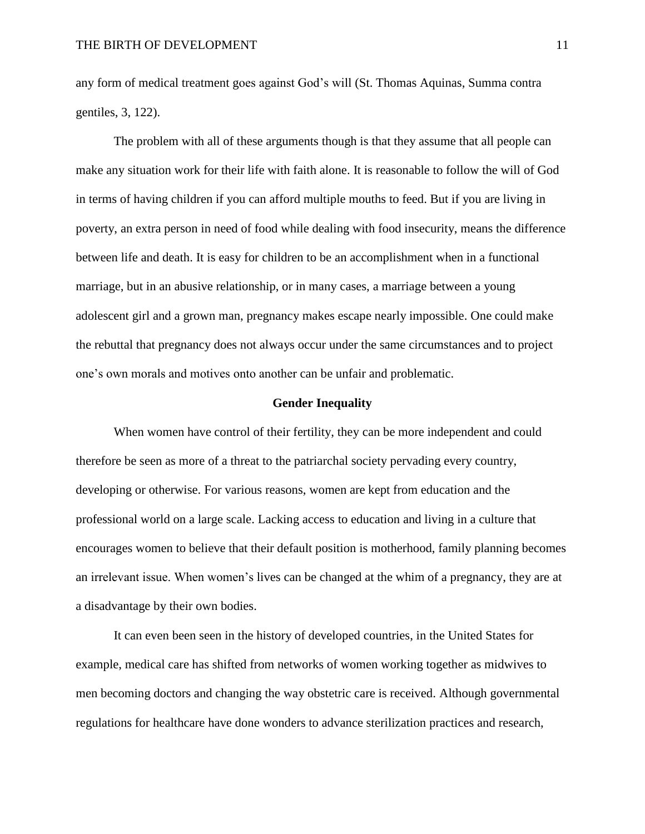any form of medical treatment goes against God's will (St. Thomas Aquinas, Summa contra gentiles, 3, 122).

The problem with all of these arguments though is that they assume that all people can make any situation work for their life with faith alone. It is reasonable to follow the will of God in terms of having children if you can afford multiple mouths to feed. But if you are living in poverty, an extra person in need of food while dealing with food insecurity, means the difference between life and death. It is easy for children to be an accomplishment when in a functional marriage, but in an abusive relationship, or in many cases, a marriage between a young adolescent girl and a grown man, pregnancy makes escape nearly impossible. One could make the rebuttal that pregnancy does not always occur under the same circumstances and to project one's own morals and motives onto another can be unfair and problematic.

#### **Gender Inequality**

When women have control of their fertility, they can be more independent and could therefore be seen as more of a threat to the patriarchal society pervading every country, developing or otherwise. For various reasons, women are kept from education and the professional world on a large scale. Lacking access to education and living in a culture that encourages women to believe that their default position is motherhood, family planning becomes an irrelevant issue. When women's lives can be changed at the whim of a pregnancy, they are at a disadvantage by their own bodies.

It can even been seen in the history of developed countries, in the United States for example, medical care has shifted from networks of women working together as midwives to men becoming doctors and changing the way obstetric care is received. Although governmental regulations for healthcare have done wonders to advance sterilization practices and research,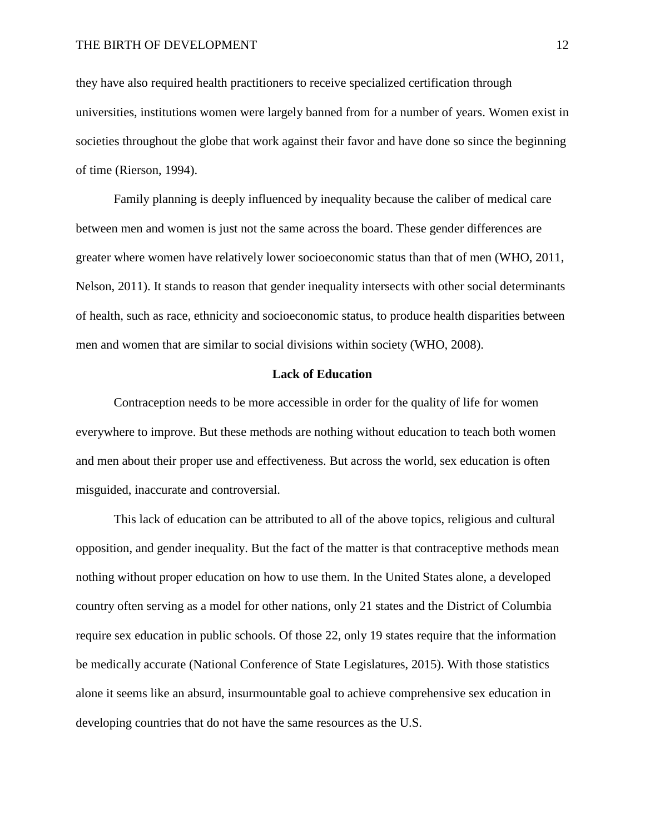they have also required health practitioners to receive specialized certification through universities, institutions women were largely banned from for a number of years. Women exist in societies throughout the globe that work against their favor and have done so since the beginning of time (Rierson, 1994).

Family planning is deeply influenced by inequality because the caliber of medical care between men and women is just not the same across the board. These gender differences are greater where women have relatively lower socioeconomic status than that of men (WHO, 2011, Nelson, 2011). It stands to reason that gender inequality intersects with other social determinants of health, such as race, ethnicity and socioeconomic status, to produce health disparities between men and women that are similar to social divisions within society (WHO, 2008).

#### **Lack of Education**

Contraception needs to be more accessible in order for the quality of life for women everywhere to improve. But these methods are nothing without education to teach both women and men about their proper use and effectiveness. But across the world, sex education is often misguided, inaccurate and controversial.

This lack of education can be attributed to all of the above topics, religious and cultural opposition, and gender inequality. But the fact of the matter is that contraceptive methods mean nothing without proper education on how to use them. In the United States alone, a developed country often serving as a model for other nations, only 21 states and the District of Columbia require sex education in public schools. Of those 22, only 19 states require that the information be medically accurate (National Conference of State Legislatures, 2015). With those statistics alone it seems like an absurd, insurmountable goal to achieve comprehensive sex education in developing countries that do not have the same resources as the U.S.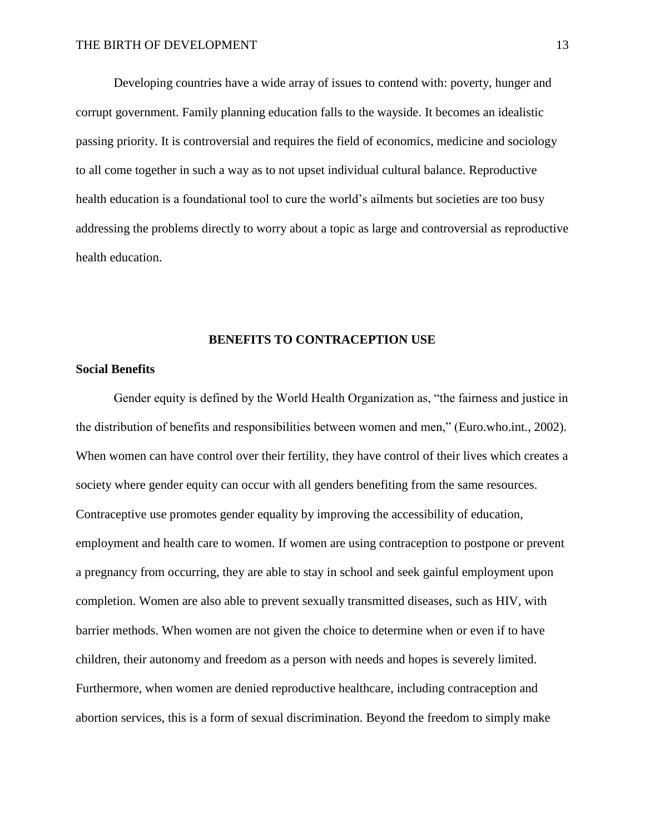Developing countries have a wide array of issues to contend with: poverty, hunger and corrupt government. Family planning education falls to the wayside. It becomes an idealistic passing priority. It is controversial and requires the field of economics, medicine and sociology to all come together in such a way as to not upset individual cultural balance. Reproductive health education is a foundational tool to cure the world's ailments but societies are too busy addressing the problems directly to worry about a topic as large and controversial as reproductive health education.

#### **BENEFITS TO CONTRACEPTION USE**

#### **Social Benefits**

 Gender equity is defined by the World Health Organization as, "the fairness and justice in the distribution of benefits and responsibilities between women and men," (Euro.who.int., 2002). When women can have control over their fertility, they have control of their lives which creates a society where gender equity can occur with all genders benefiting from the same resources. Contraceptive use promotes gender equality by improving the accessibility of education, employment and health care to women. If women are using contraception to postpone or prevent a pregnancy from occurring, they are able to stay in school and seek gainful employment upon completion. Women are also able to prevent sexually transmitted diseases, such as HIV, with barrier methods. When women are not given the choice to determine when or even if to have children, their autonomy and freedom as a person with needs and hopes is severely limited. Furthermore, when women are denied reproductive healthcare, including contraception and abortion services, this is a form of sexual discrimination. Beyond the freedom to simply make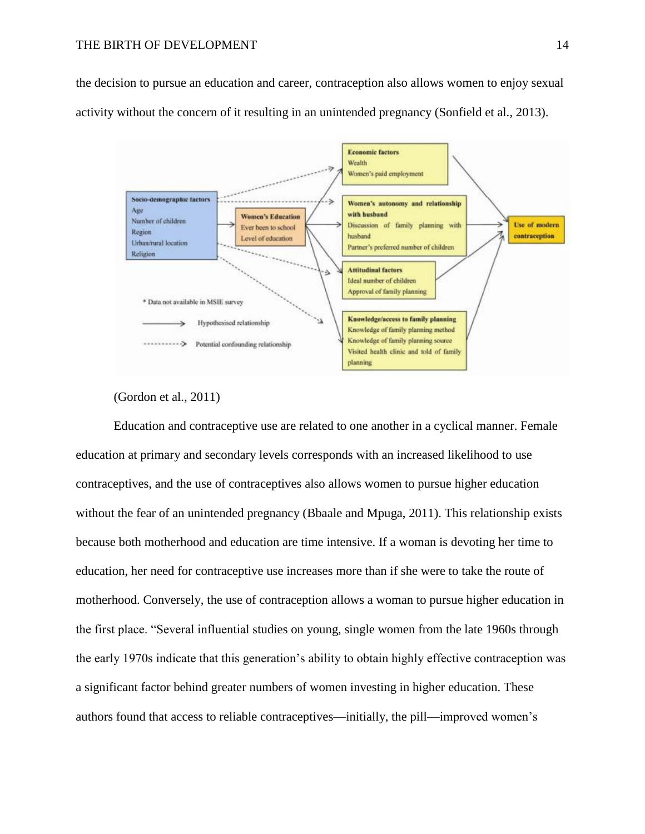the decision to pursue an education and career, contraception also allows women to enjoy sexual activity without the concern of it resulting in an unintended pregnancy (Sonfield et al., 2013).



# (Gordon et al., 2011)

Education and contraceptive use are related to one another in a cyclical manner. Female education at primary and secondary levels corresponds with an increased likelihood to use contraceptives, and the use of contraceptives also allows women to pursue higher education without the fear of an unintended pregnancy (Bbaale and Mpuga, 2011). This relationship exists because both motherhood and education are time intensive. If a woman is devoting her time to education, her need for contraceptive use increases more than if she were to take the route of motherhood. Conversely, the use of contraception allows a woman to pursue higher education in the first place. "Several influential studies on young, single women from the late 1960s through the early 1970s indicate that this generation's ability to obtain highly effective contraception was a significant factor behind greater numbers of women investing in higher education. These authors found that access to reliable contraceptives—initially, the pill—improved women's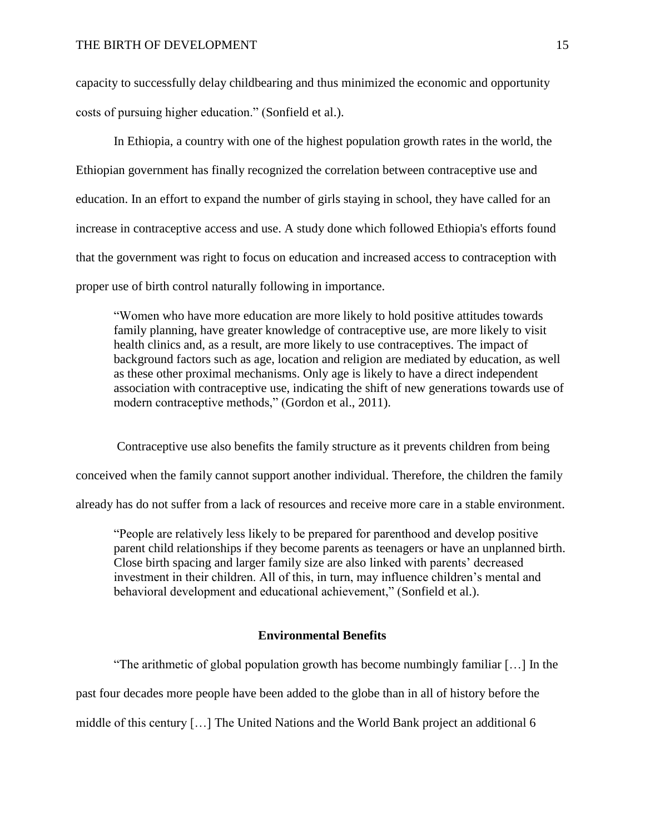capacity to successfully delay childbearing and thus minimized the economic and opportunity costs of pursuing higher education." (Sonfield et al.).

In Ethiopia, a country with one of the highest population growth rates in the world, the Ethiopian government has finally recognized the correlation between contraceptive use and education. In an effort to expand the number of girls staying in school, they have called for an increase in contraceptive access and use. A study done which followed Ethiopia's efforts found that the government was right to focus on education and increased access to contraception with proper use of birth control naturally following in importance.

"Women who have more education are more likely to hold positive attitudes towards family planning, have greater knowledge of contraceptive use, are more likely to visit health clinics and, as a result, are more likely to use contraceptives. The impact of background factors such as age, location and religion are mediated by education, as well as these other proximal mechanisms. Only age is likely to have a direct independent association with contraceptive use, indicating the shift of new generations towards use of modern contraceptive methods," (Gordon et al., 2011).

Contraceptive use also benefits the family structure as it prevents children from being conceived when the family cannot support another individual. Therefore, the children the family already has do not suffer from a lack of resources and receive more care in a stable environment.

"People are relatively less likely to be prepared for parenthood and develop positive parent child relationships if they become parents as teenagers or have an unplanned birth. Close birth spacing and larger family size are also linked with parents' decreased investment in their children. All of this, in turn, may influence children's mental and behavioral development and educational achievement," (Sonfield et al.).

#### **Environmental Benefits**

"The arithmetic of global population growth has become numbingly familiar […] In the

past four decades more people have been added to the globe than in all of history before the

middle of this century […] The United Nations and the World Bank project an additional 6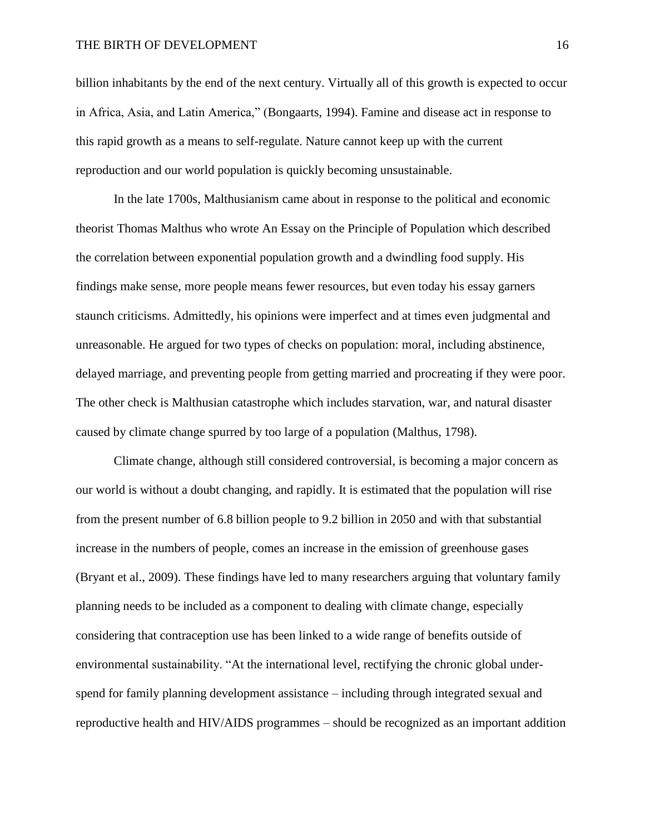billion inhabitants by the end of the next century. Virtually all of this growth is expected to occur in Africa, Asia, and Latin America," (Bongaarts, 1994). Famine and disease act in response to this rapid growth as a means to self-regulate. Nature cannot keep up with the current reproduction and our world population is quickly becoming unsustainable.

In the late 1700s, Malthusianism came about in response to the political and economic theorist Thomas Malthus who wrote An Essay on the Principle of Population which described the correlation between exponential population growth and a dwindling food supply. His findings make sense, more people means fewer resources, but even today his essay garners staunch criticisms. Admittedly, his opinions were imperfect and at times even judgmental and unreasonable. He argued for two types of checks on population: moral, including abstinence, delayed marriage, and preventing people from getting married and procreating if they were poor. The other check is Malthusian catastrophe which includes starvation, war, and natural disaster caused by climate change spurred by too large of a population (Malthus, 1798).

Climate change, although still considered controversial, is becoming a major concern as our world is without a doubt changing, and rapidly. It is estimated that the population will rise from the present number of 6.8 billion people to 9.2 billion in 2050 and with that substantial increase in the numbers of people, comes an increase in the emission of greenhouse gases (Bryant et al., 2009). These findings have led to many researchers arguing that voluntary family planning needs to be included as a component to dealing with climate change, especially considering that contraception use has been linked to a wide range of benefits outside of environmental sustainability. "At the international level, rectifying the chronic global underspend for family planning development assistance – including through integrated sexual and reproductive health and HIV/AIDS programmes – should be recognized as an important addition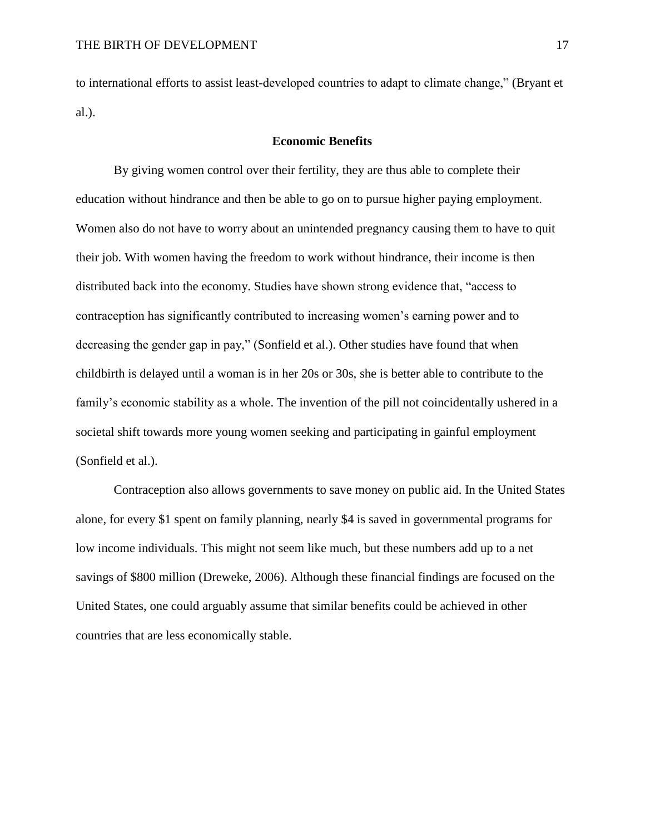to international efforts to assist least-developed countries to adapt to climate change," (Bryant et al.).

# **Economic Benefits**

By giving women control over their fertility, they are thus able to complete their education without hindrance and then be able to go on to pursue higher paying employment. Women also do not have to worry about an unintended pregnancy causing them to have to quit their job. With women having the freedom to work without hindrance, their income is then distributed back into the economy. Studies have shown strong evidence that, "access to contraception has significantly contributed to increasing women's earning power and to decreasing the gender gap in pay," (Sonfield et al.). Other studies have found that when childbirth is delayed until a woman is in her 20s or 30s, she is better able to contribute to the family's economic stability as a whole. The invention of the pill not coincidentally ushered in a societal shift towards more young women seeking and participating in gainful employment (Sonfield et al.).

Contraception also allows governments to save money on public aid. In the United States alone, for every \$1 spent on family planning, nearly \$4 is saved in governmental programs for low income individuals. This might not seem like much, but these numbers add up to a net savings of \$800 million (Dreweke, 2006). Although these financial findings are focused on the United States, one could arguably assume that similar benefits could be achieved in other countries that are less economically stable.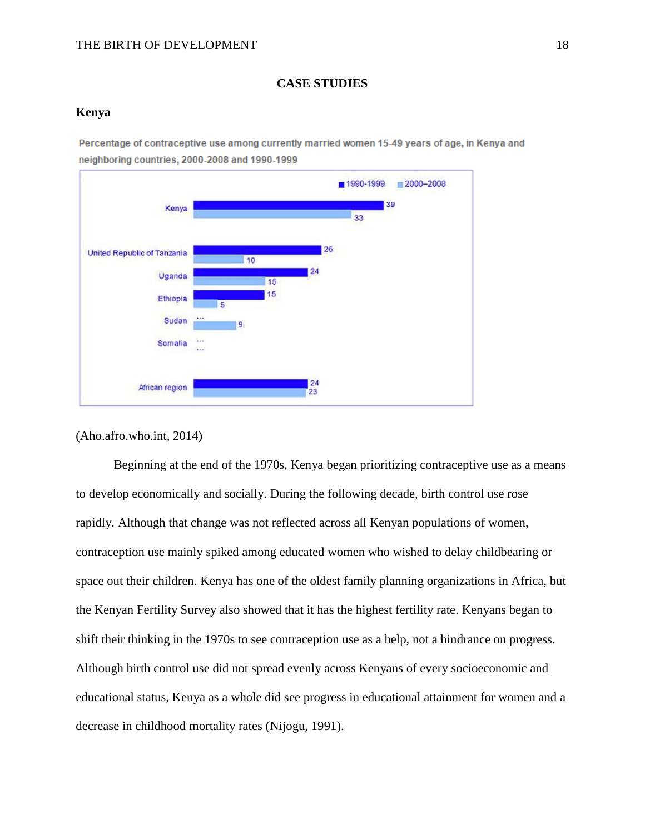# **CASE STUDIES**

# **Kenya**

Percentage of contraceptive use among currently married women 15-49 years of age, in Kenya and neighboring countries, 2000-2008 and 1990-1999



(Aho.afro.who.int, 2014)

Beginning at the end of the 1970s, Kenya began prioritizing contraceptive use as a means to develop economically and socially. During the following decade, birth control use rose rapidly. Although that change was not reflected across all Kenyan populations of women, contraception use mainly spiked among educated women who wished to delay childbearing or space out their children. Kenya has one of the oldest family planning organizations in Africa, but the Kenyan Fertility Survey also showed that it has the highest fertility rate. Kenyans began to shift their thinking in the 1970s to see contraception use as a help, not a hindrance on progress. Although birth control use did not spread evenly across Kenyans of every socioeconomic and educational status, Kenya as a whole did see progress in educational attainment for women and a decrease in childhood mortality rates (Nijogu, 1991).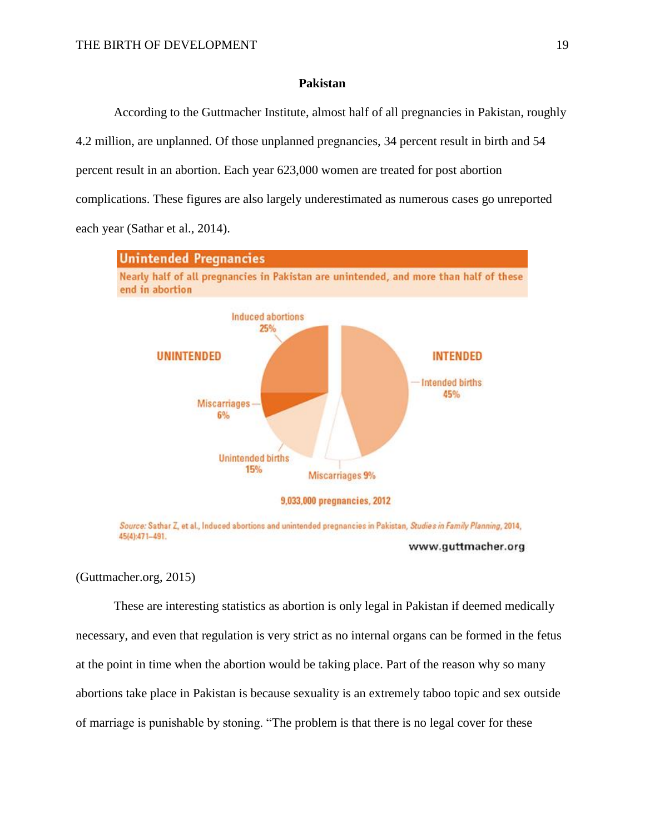# **Pakistan**

According to the Guttmacher Institute, almost half of all pregnancies in Pakistan, roughly 4.2 million, are unplanned. Of those unplanned pregnancies, 34 percent result in birth and 54 percent result in an abortion. Each year 623,000 women are treated for post abortion complications. These figures are also largely underestimated as numerous cases go unreported each year (Sathar et al., 2014).



Source: Sathar Z, et al., Induced abortions and unintended pregnancies in Pakistan, Studies in Family Planning, 2014, 45(4):471-491. www.guttmacher.org

(Guttmacher.org, 2015)

These are interesting statistics as abortion is only legal in Pakistan if deemed medically necessary, and even that regulation is very strict as no internal organs can be formed in the fetus at the point in time when the abortion would be taking place. Part of the reason why so many abortions take place in Pakistan is because sexuality is an extremely taboo topic and sex outside of marriage is punishable by stoning. "The problem is that there is no legal cover for these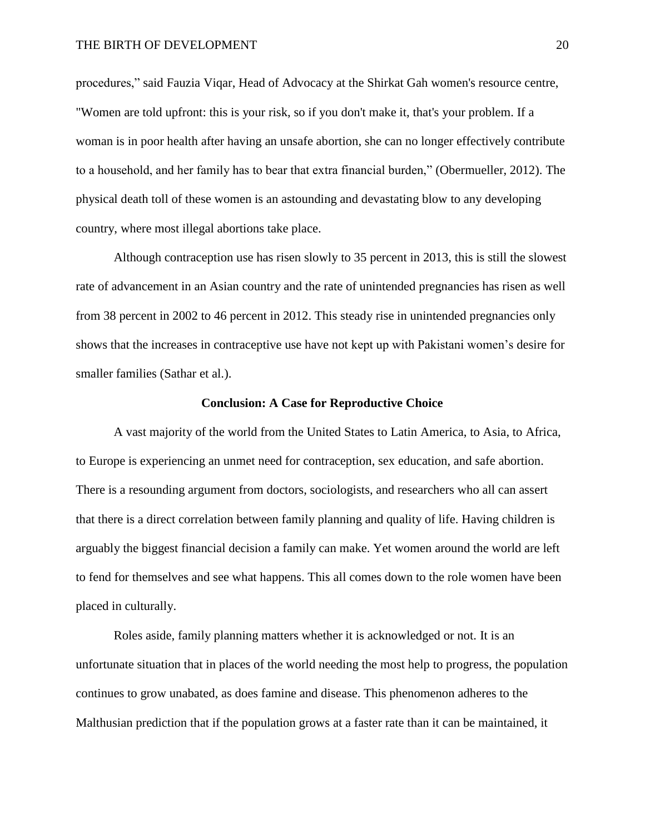procedures," said Fauzia Viqar, Head of Advocacy at the Shirkat Gah women's resource centre, "Women are told upfront: this is your risk, so if you don't make it, that's your problem. If a woman is in poor health after having an unsafe abortion, she can no longer effectively contribute to a household, and her family has to bear that extra financial burden," (Obermueller, 2012). The physical death toll of these women is an astounding and devastating blow to any developing country, where most illegal abortions take place.

Although contraception use has risen slowly to 35 percent in 2013, this is still the slowest rate of advancement in an Asian country and the rate of unintended pregnancies has risen as well from 38 percent in 2002 to 46 percent in 2012. This steady rise in unintended pregnancies only shows that the increases in contraceptive use have not kept up with Pakistani women's desire for smaller families (Sathar et al.).

#### **Conclusion: A Case for Reproductive Choice**

A vast majority of the world from the United States to Latin America, to Asia, to Africa, to Europe is experiencing an unmet need for contraception, sex education, and safe abortion. There is a resounding argument from doctors, sociologists, and researchers who all can assert that there is a direct correlation between family planning and quality of life. Having children is arguably the biggest financial decision a family can make. Yet women around the world are left to fend for themselves and see what happens. This all comes down to the role women have been placed in culturally.

Roles aside, family planning matters whether it is acknowledged or not. It is an unfortunate situation that in places of the world needing the most help to progress, the population continues to grow unabated, as does famine and disease. This phenomenon adheres to the Malthusian prediction that if the population grows at a faster rate than it can be maintained, it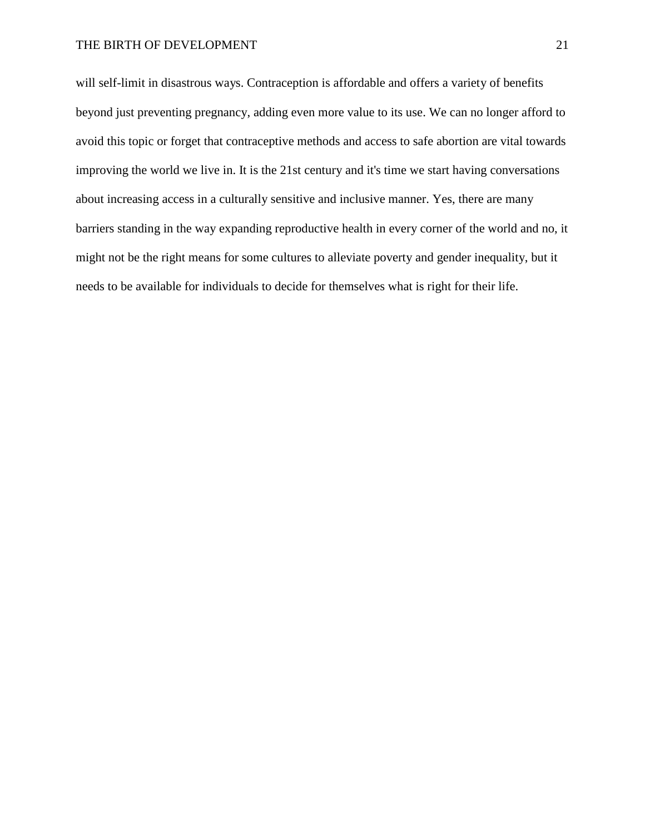will self-limit in disastrous ways. Contraception is affordable and offers a variety of benefits beyond just preventing pregnancy, adding even more value to its use. We can no longer afford to avoid this topic or forget that contraceptive methods and access to safe abortion are vital towards improving the world we live in. It is the 21st century and it's time we start having conversations about increasing access in a culturally sensitive and inclusive manner. Yes, there are many barriers standing in the way expanding reproductive health in every corner of the world and no, it might not be the right means for some cultures to alleviate poverty and gender inequality, but it needs to be available for individuals to decide for themselves what is right for their life.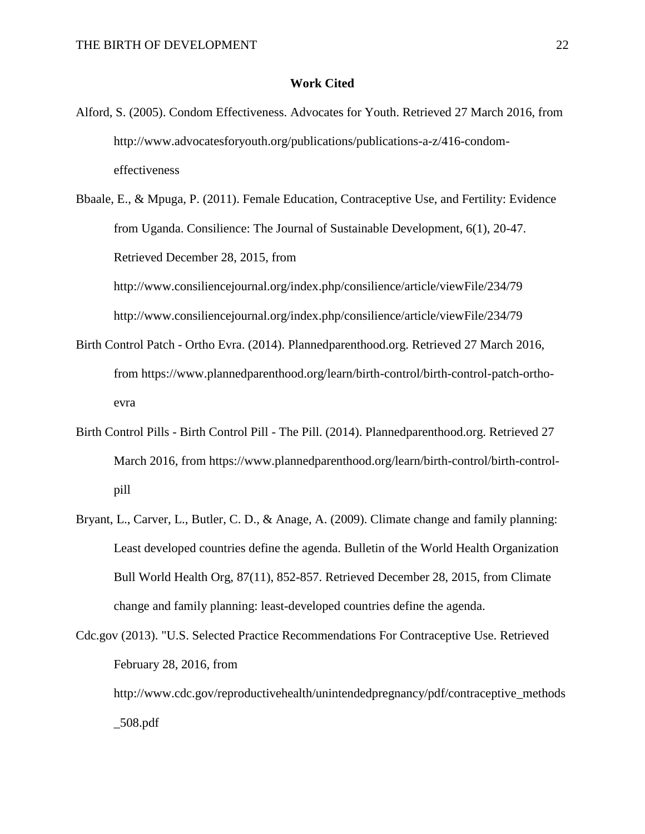#### **Work Cited**

- Alford, S. (2005). Condom Effectiveness. Advocates for Youth. Retrieved 27 March 2016, from http://www.advocatesforyouth.org/publications/publications-a-z/416-condomeffectiveness
- Bbaale, E., & Mpuga, P. (2011). Female Education, Contraceptive Use, and Fertility: Evidence from Uganda. Consilience: The Journal of Sustainable Development, 6(1), 20-47. Retrieved December 28, 2015, from http://www.consiliencejournal.org/index.php/consilience/article/viewFile/234/79

http://www.consiliencejournal.org/index.php/consilience/article/viewFile/234/79

- Birth Control Patch Ortho Evra. (2014). Plannedparenthood.org. Retrieved 27 March 2016, from https://www.plannedparenthood.org/learn/birth-control/birth-control-patch-orthoevra
- Birth Control Pills Birth Control Pill The Pill. (2014). Plannedparenthood.org. Retrieved 27 March 2016, from https://www.plannedparenthood.org/learn/birth-control/birth-controlpill
- Bryant, L., Carver, L., Butler, C. D., & Anage, A. (2009). Climate change and family planning: Least developed countries define the agenda. Bulletin of the World Health Organization Bull World Health Org, 87(11), 852-857. Retrieved December 28, 2015, from Climate change and family planning: least-developed countries define the agenda.

Cdc.gov (2013). "U.S. Selected Practice Recommendations For Contraceptive Use. Retrieved February 28, 2016, from http://www.cdc.gov/reproductivehealth/unintendedpregnancy/pdf/contraceptive\_methods \_508.pdf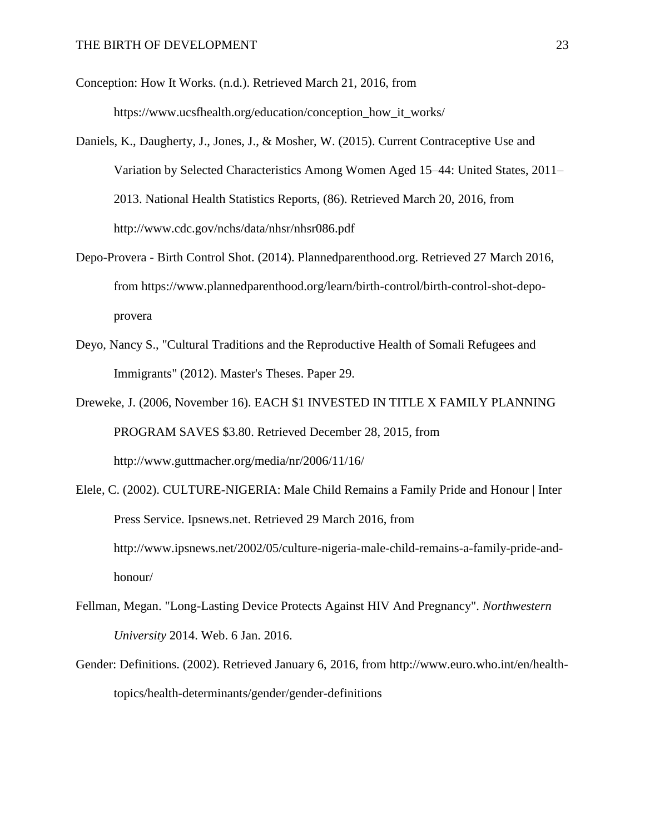Conception: How It Works. (n.d.). Retrieved March 21, 2016, from https://www.ucsfhealth.org/education/conception\_how\_it\_works/

- Daniels, K., Daugherty, J., Jones, J., & Mosher, W. (2015). Current Contraceptive Use and Variation by Selected Characteristics Among Women Aged 15–44: United States, 2011– 2013. National Health Statistics Reports, (86). Retrieved March 20, 2016, from http://www.cdc.gov/nchs/data/nhsr/nhsr086.pdf
- Depo-Provera Birth Control Shot. (2014). Plannedparenthood.org. Retrieved 27 March 2016, from https://www.plannedparenthood.org/learn/birth-control/birth-control-shot-depoprovera
- Deyo, Nancy S., "Cultural Traditions and the Reproductive Health of Somali Refugees and Immigrants" (2012). Master's Theses. Paper 29.
- Dreweke, J. (2006, November 16). EACH \$1 INVESTED IN TITLE X FAMILY PLANNING PROGRAM SAVES \$3.80. Retrieved December 28, 2015, from http://www.guttmacher.org/media/nr/2006/11/16/
- Elele, C. (2002). CULTURE-NIGERIA: Male Child Remains a Family Pride and Honour | Inter Press Service. Ipsnews.net. Retrieved 29 March 2016, from http://www.ipsnews.net/2002/05/culture-nigeria-male-child-remains-a-family-pride-andhonour/
- Fellman, Megan. "Long-Lasting Device Protects Against HIV And Pregnancy". *Northwestern University* 2014. Web. 6 Jan. 2016.
- Gender: Definitions. (2002). Retrieved January 6, 2016, from http://www.euro.who.int/en/healthtopics/health-determinants/gender/gender-definitions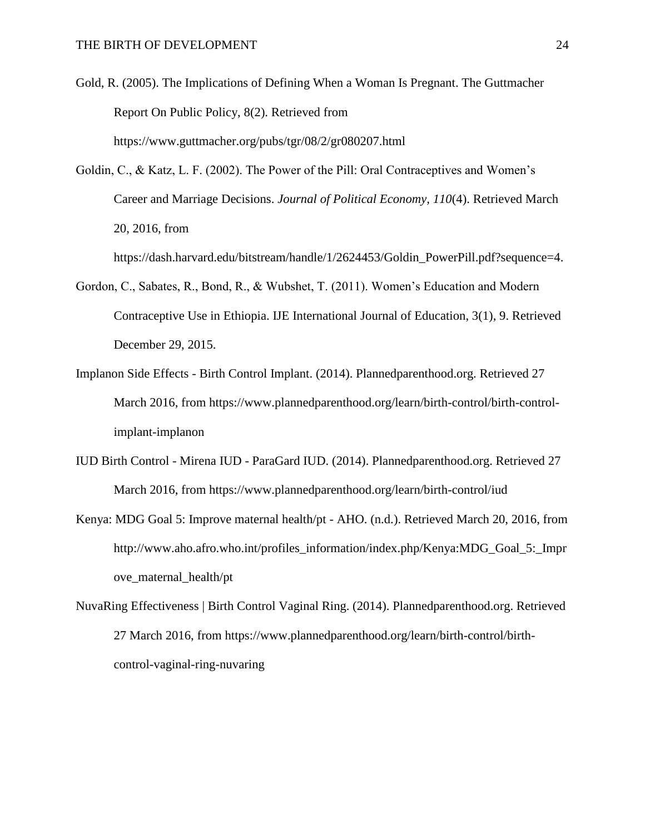- Gold, R. (2005). The Implications of Defining When a Woman Is Pregnant. The Guttmacher Report On Public Policy, 8(2). Retrieved from https://www.guttmacher.org/pubs/tgr/08/2/gr080207.html
- Goldin, C., & Katz, L. F. (2002). The Power of the Pill: Oral Contraceptives and Women's Career and Marriage Decisions. *Journal of Political Economy, 110*(4). Retrieved March 20, 2016, from

https://dash.harvard.edu/bitstream/handle/1/2624453/Goldin\_PowerPill.pdf?sequence=4.

- Gordon, C., Sabates, R., Bond, R., & Wubshet, T. (2011). Women's Education and Modern Contraceptive Use in Ethiopia. IJE International Journal of Education, 3(1), 9. Retrieved December 29, 2015.
- Implanon Side Effects Birth Control Implant. (2014). Plannedparenthood.org. Retrieved 27 March 2016, from https://www.plannedparenthood.org/learn/birth-control/birth-controlimplant-implanon
- IUD Birth Control Mirena IUD ParaGard IUD. (2014). Plannedparenthood.org. Retrieved 27 March 2016, from https://www.plannedparenthood.org/learn/birth-control/iud
- Kenya: MDG Goal 5: Improve maternal health/pt AHO. (n.d.). Retrieved March 20, 2016, from http://www.aho.afro.who.int/profiles\_information/index.php/Kenya:MDG\_Goal\_5:\_Impr ove maternal health/pt
- NuvaRing Effectiveness | Birth Control Vaginal Ring. (2014). Plannedparenthood.org. Retrieved 27 March 2016, from https://www.plannedparenthood.org/learn/birth-control/birthcontrol-vaginal-ring-nuvaring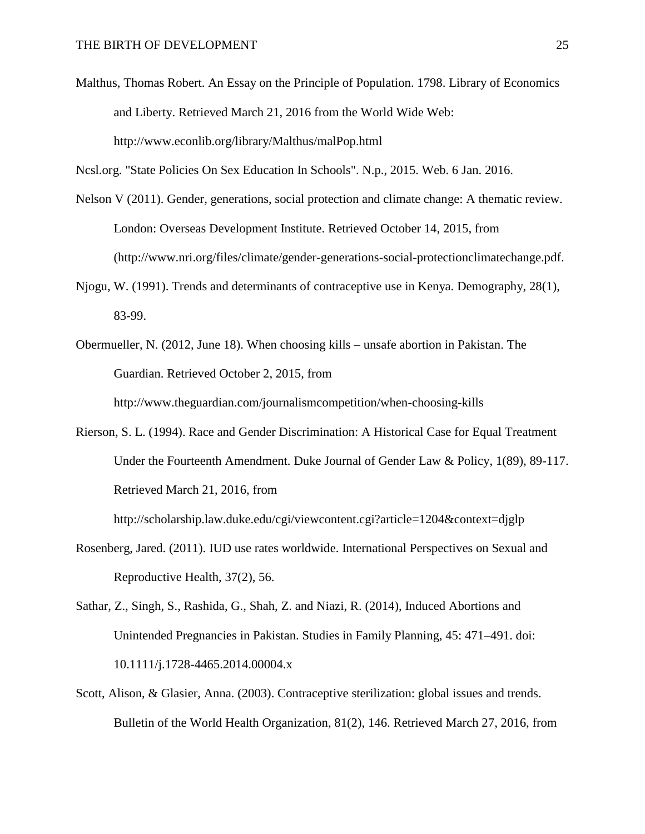Malthus, Thomas Robert. An Essay on the Principle of Population. 1798. Library of Economics and Liberty. Retrieved March 21, 2016 from the World Wide Web: http://www.econlib.org/library/Malthus/malPop.html

Ncsl.org. "State Policies On Sex Education In Schools". N.p., 2015. Web. 6 Jan. 2016.

- Nelson V (2011). Gender, generations, social protection and climate change: A thematic review. London: Overseas Development Institute. Retrieved October 14, 2015, from (http://www.nri.org/files/climate/gender-generations-social-protectionclimatechange.pdf.
- Njogu, W. (1991). Trends and determinants of contraceptive use in Kenya. Demography, 28(1), 83-99.
- Obermueller, N. (2012, June 18). When choosing kills unsafe abortion in Pakistan. The Guardian. Retrieved October 2, 2015, from http://www.theguardian.com/journalismcompetition/when-choosing-kills
- Rierson, S. L. (1994). Race and Gender Discrimination: A Historical Case for Equal Treatment Under the Fourteenth Amendment. Duke Journal of Gender Law & Policy, 1(89), 89-117. Retrieved March 21, 2016, from

http://scholarship.law.duke.edu/cgi/viewcontent.cgi?article=1204&context=djglp

- Rosenberg, Jared. (2011). IUD use rates worldwide. International Perspectives on Sexual and Reproductive Health, 37(2), 56.
- Sathar, Z., Singh, S., Rashida, G., Shah, Z. and Niazi, R. (2014), Induced Abortions and Unintended Pregnancies in Pakistan. Studies in Family Planning, 45: 471–491. doi: 10.1111/j.1728-4465.2014.00004.x
- Scott, Alison, & Glasier, Anna. (2003). Contraceptive sterilization: global issues and trends. Bulletin of the World Health Organization, 81(2), 146. Retrieved March 27, 2016, from